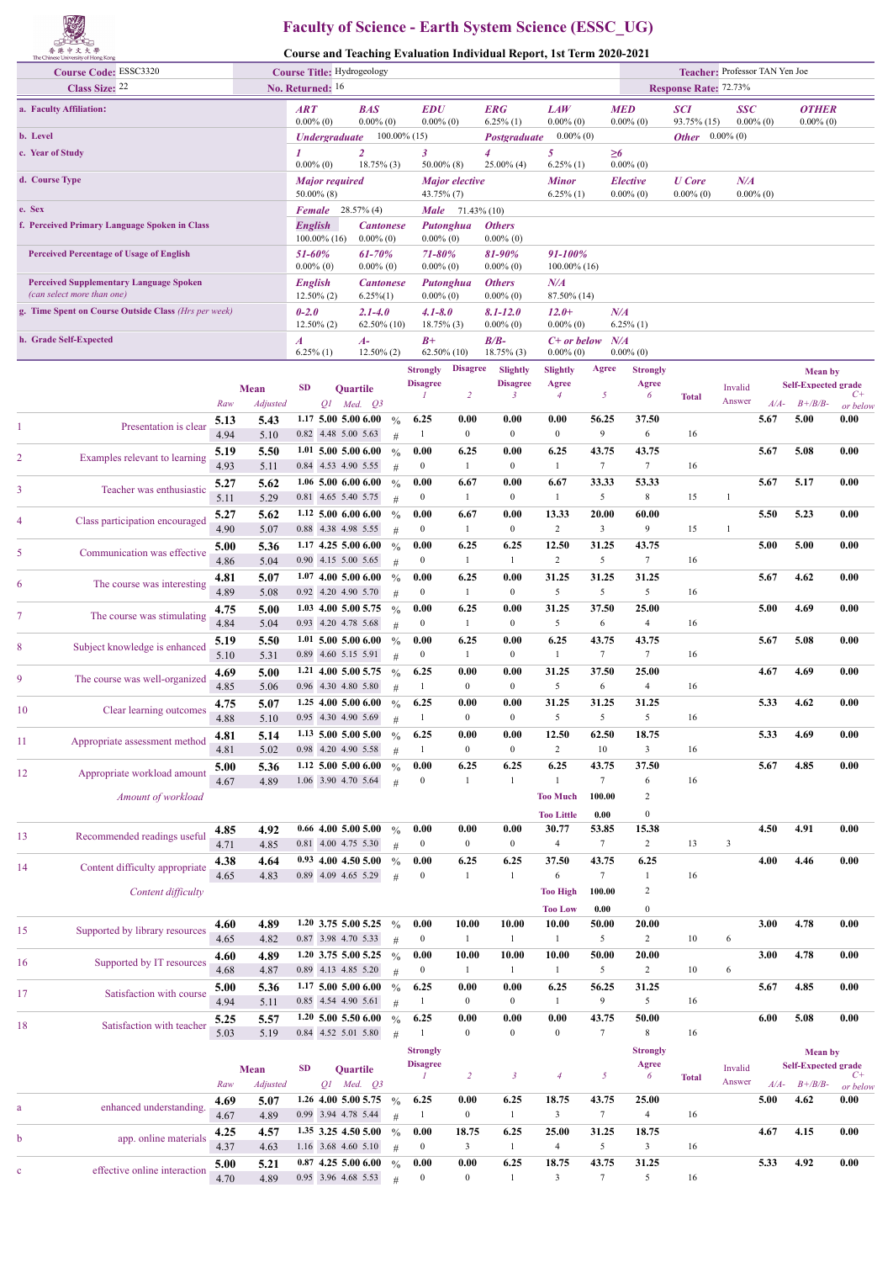

## **Faculty of Science - Earth System Science (ESSC\_UG)**

**Course and Teaching Evaluation Individual Report, 1st Term 2020-2021**

|                                                                              | the cumese currently of Living today.<br><b>Course Code: ESSC3320</b><br>Class Size: 22 |              | Course Title: Hydrogeology<br>No. Returned: 16 |                                                                         |                             |                                              |                    |                                                      |                            | Teacher: Professor TAN Yen Joe<br><b>Response Rate: 72.73%</b> |                              |                                        |                               |                                          |              |                |                                              |                  |
|------------------------------------------------------------------------------|-----------------------------------------------------------------------------------------|--------------|------------------------------------------------|-------------------------------------------------------------------------|-----------------------------|----------------------------------------------|--------------------|------------------------------------------------------|----------------------------|----------------------------------------------------------------|------------------------------|----------------------------------------|-------------------------------|------------------------------------------|--------------|----------------|----------------------------------------------|------------------|
|                                                                              | a. Faculty Affiliation:                                                                 |              |                                                | <b>ART</b>                                                              |                             | <b>BAS</b>                                   |                    | <b>EDU</b>                                           |                            | <b>ERG</b>                                                     | <b>LAW</b>                   |                                        | <b>MED</b>                    | <b>SCI</b>                               | <b>SSC</b>   |                | <b>OTHER</b>                                 |                  |
| b. Level                                                                     |                                                                                         |              |                                                | $0.00\%$ (0)                                                            | <b><i>Undergraduate</i></b> | $0.00\%$ (0)                                 |                    | $0.00\%$ (0)<br>$100.00\%$ (15)                      |                            | $6.25\%$ (1)<br>Postgraduate                                   | $0.00\%$ (0)<br>$0.00\%$ (0) |                                        | $0.00\%$ (0)                  | 93.75% (15)<br><b>Other</b> $0.00\%$ (0) | $0.00\%$ (0) |                | $0.00\%$ (0)                                 |                  |
| c. Year of Study                                                             |                                                                                         |              | 1                                              |                                                                         | $\overline{2}$              |                                              | 3                  |                                                      | 4<br>$25.00\%$ (4)         | 5<br>$6.25\%$ (1)                                              |                              | $\geq 6$<br>$0.00\%$ (0)               |                               |                                          |              |                |                                              |                  |
| d. Course Type                                                               |                                                                                         |              |                                                | $0.00\%$ (0)<br>$18.75\%$ (3)<br><b>Major required</b><br>$50.00\%$ (8) |                             |                                              |                    | $50.00\%$ (8)<br><i>Major elective</i><br>43.75% (7) |                            | <b>Minor</b><br>$6.25\%$ (1)                                   |                              | <i><b>Elective</b></i><br>$0.00\%$ (0) | <b>U</b> Core<br>$0.00\%$ (0) | $N\!$<br>$0.00\%$ (0)                    |              |                |                                              |                  |
| e. Sex                                                                       |                                                                                         |              |                                                |                                                                         |                             | <b>Female</b> 28.57% (4)                     |                    |                                                      | <b>Male</b> $71.43\%$ (10) |                                                                |                              |                                        |                               |                                          |              |                |                                              |                  |
| f. Perceived Primary Language Spoken in Class                                |                                                                                         |              |                                                | <b>English</b>                                                          | $100.00\%$ (16)             | <b>Cantonese</b><br>$0.00\%$ (0)             |                    | $0.00\%$ (0)                                         | Putonghua                  | <b>Others</b><br>$0.00\%$ (0)                                  |                              |                                        |                               |                                          |              |                |                                              |                  |
| <b>Perceived Percentage of Usage of English</b>                              |                                                                                         |              |                                                | 51-60%<br>$0.00\%$ (0)                                                  |                             | 61-70%<br>$0.00\%$ (0)                       |                    | $71 - 80%$<br>$0.00\%$ (0)                           |                            | 81-90%<br>$0.00\%$ (0)                                         | 91-100%<br>100.00% (16)      |                                        |                               |                                          |              |                |                                              |                  |
| <b>Perceived Supplementary Language Spoken</b><br>(can select more than one) |                                                                                         |              |                                                | <b>English</b>                                                          | $12.50\%$ (2)               | <b>Cantonese</b><br>$6.25\%(1)$              |                    | $0.00\%$ (0)                                         | Putonghua                  | <b>Others</b><br>$0.00\%$ (0)                                  | $N\!/\!A$<br>87.50% (14)     |                                        |                               |                                          |              |                |                                              |                  |
|                                                                              | g. Time Spent on Course Outside Class (Hrs per week)                                    |              |                                                | $0 - 2.0$                                                               | $12.50\%$ (2)               | $2.1 - 4.0$<br>62.50% (10)                   |                    | $4.1 - 8.0$<br>$18.75\%$ (3)                         |                            | $8.1 - 12.0$<br>$0.00\%$ (0)                                   | $12.0+$<br>$0.00\%$ (0)      |                                        | N/A<br>$6.25\%$ (1)           |                                          |              |                |                                              |                  |
| h. Grade Self-Expected                                                       |                                                                                         |              |                                                | $\boldsymbol{A}$<br>$6.25\%$ (1)                                        |                             | $A-$<br>$12.50\%$ (2)                        |                    | $_{B+}$                                              | 62.50% (10)                | $B/B-$<br>$18.75\%$ (3)                                        | C+ or below<br>$0.00\%$ (0)  |                                        | N/A<br>$0.00\%$ (0)           |                                          |              |                |                                              |                  |
|                                                                              |                                                                                         |              |                                                |                                                                         |                             |                                              |                    | <b>Strongly</b>                                      | <b>Disagree</b>            | Slightly                                                       | <b>Slightly</b>              | Agree                                  | <b>Strongly</b>               |                                          |              |                | <b>Mean</b> by                               |                  |
|                                                                              |                                                                                         |              | Mean                                           | <b>SD</b>                                                               |                             | <b>Ouartile</b>                              |                    | <b>Disagree</b>                                      | $\overline{c}$             | <b>Disagree</b><br>$\mathbf{3}$                                | Agree<br>$\overline{4}$      | 5                                      | Agree<br>6                    | <b>Total</b>                             | Invalid      |                | <b>Self-Expected grade</b>                   | C+               |
|                                                                              |                                                                                         | Raw<br>5.13  | Adjusted<br>5.43                               |                                                                         |                             | $Q1$ Med. $Q3$<br>$1.17$ 5.00 5.00 6.00      | $\frac{0}{0}$      | 6.25                                                 | 0.00                       | 0.00                                                           | 0.00                         | 56.25                                  | 37.50                         |                                          | Answer       | $A/A-$<br>5.67 | $B + /B/B$ -<br>5.00                         | or below<br>0.00 |
| 1                                                                            | Presentation is clear                                                                   | 4.94         | 5.10                                           |                                                                         |                             | 0.82 4.48 5.00 5.63                          | #                  | $\mathbf{1}$                                         | $\bf{0}$                   | $\boldsymbol{0}$                                               | $\boldsymbol{0}$             | 9                                      | 6                             | 16                                       |              |                |                                              |                  |
| 2                                                                            | Examples relevant to learning                                                           | 5.19<br>4.93 | 5.50<br>5.11                                   |                                                                         |                             | $1.01$ 5.00 5.00 6.00<br>0.84 4.53 4.90 5.55 | $\frac{0}{0}$<br># | 0.00<br>$\bf{0}$                                     | 6.25<br>1                  | 0.00<br>$\boldsymbol{0}$                                       | 6.25<br>$\mathbf{1}$         | 43.75<br>$\tau$                        | 43.75<br>$\tau$               | 16                                       |              | 5.67           | 5.08                                         | 0.00             |
| 3                                                                            | Teacher was enthusiastic                                                                | 5.27<br>5.11 | 5.62<br>5.29                                   |                                                                         |                             | $1.06$ 5.00 6.00 6.00<br>0.81 4.65 5.40 5.75 | $\frac{0}{0}$<br># | 0.00<br>$\bf{0}$                                     | 6.67<br>1                  | 0.00<br>$\boldsymbol{0}$                                       | 6.67<br>$\mathbf{1}$         | 33.33<br>5                             | 53.33<br>$\,$ 8 $\,$          | 15                                       | 1            | 5.67           | 5.17                                         | 0.00             |
| 4                                                                            | Class participation encouraged                                                          | 5.27         | 5.62                                           |                                                                         |                             | $1.12$ 5.00 6.00 6.00                        | $\frac{0}{0}$      | 0.00                                                 | 6.67                       | 0.00                                                           | 13.33                        | 20.00                                  | 60.00                         |                                          |              | 5.50           | 5.23                                         | 0.00             |
|                                                                              |                                                                                         | 4.90<br>5.00 | 5.07<br>5.36                                   |                                                                         |                             | 0.88 4.38 4.98 5.55<br>$1.17$ 4.25 5.00 6.00 | #<br>$\frac{0}{0}$ | $\bf{0}$<br>0.00                                     | -1<br>6.25                 | $\boldsymbol{0}$<br>6.25                                       | $\sqrt{2}$<br>12.50          | $\mathfrak{Z}$<br>31.25                | 9<br>43.75                    | 15                                       | 1            | 5.00           | 5.00                                         | 0.00             |
| 5                                                                            | Communication was effective                                                             | 4.86         | 5.04                                           |                                                                         |                             | 0.90 4.15 5.00 5.65                          | #                  | $\bf{0}$                                             | $\mathbf{1}$               | $\mathbf{1}$                                                   | $\overline{c}$               | 5                                      | $\tau$                        | 16                                       |              |                |                                              |                  |
| 6                                                                            | The course was interesting                                                              | 4.81<br>4.89 | 5.07<br>5.08                                   |                                                                         |                             | $1.07$ 4.00 5.00 6.00<br>0.92 4.20 4.90 5.70 | $\frac{0}{0}$<br># | 0.00<br>$\bf{0}$                                     | 6.25<br>1                  | 0.00<br>$\boldsymbol{0}$                                       | 31.25<br>5                   | 31.25<br>5                             | 31.25<br>5                    | 16                                       |              | 5.67           | 4.62                                         | 0.00             |
| 7                                                                            | The course was stimulating                                                              | 4.75<br>4.84 | 5.00<br>5.04                                   |                                                                         |                             | $1.03$ 4.00 5.00 5.75<br>0.93 4.20 4.78 5.68 | $\frac{0}{0}$<br># | 0.00<br>$\bf{0}$                                     | 6.25<br>$\mathbf{1}$       | 0.00<br>$\boldsymbol{0}$                                       | 31.25<br>5                   | 37.50<br>6                             | 25.00<br>$\overline{4}$       | 16                                       |              | 5.00           | 4.69                                         | 0.00             |
| 8                                                                            | Subject knowledge is enhanced                                                           | 5.19         | 5.50                                           |                                                                         |                             | $1.01$ 5.00 5.00 6.00                        | $\frac{0}{0}$      | 0.00                                                 | 6.25                       | 0.00                                                           | 6.25                         | 43.75                                  | 43.75                         |                                          |              | 5.67           | 5.08                                         | 0.00             |
| 9                                                                            | The course was well-organized                                                           | 5.10<br>4.69 | 5.31<br>5.00                                   |                                                                         |                             | 0.89 4.60 5.15 5.91<br>1.21 4.00 5.00 5.75   | #<br>$\frac{0}{0}$ | $\bf{0}$<br>6.25                                     | 1<br>0.00                  | $\boldsymbol{0}$<br>0.00                                       | $\mathbf{1}$<br>31.25        | $\tau$<br>37.50                        | 7<br>25.00                    | 16                                       |              | 4.67           | 4.69                                         | 0.00             |
|                                                                              |                                                                                         | 4.85<br>4.75 | 5.06<br>5.07                                   |                                                                         |                             | 0.96 4.30 4.80 5.80<br>$1.25$ 4.00 5.00 6.00 | #                  | $\mathbf{1}$<br>6.25                                 | $\boldsymbol{0}$<br>0.00   | $\boldsymbol{0}$<br>0.00                                       | 5<br>31.25                   | 6<br>31.25                             | $\overline{4}$<br>31.25       | 16                                       |              | 5.33           | 4.62                                         | 0.00             |
| 10                                                                           | Clear learning outcomes                                                                 | 4.88         | 5.10                                           |                                                                         |                             | 0.95 4.30 4.90 5.69                          | $\frac{0}{0}$<br># | 1                                                    | $\mathbf{0}$               | $\mathbf{0}$                                                   | 5                            | 5                                      | 5                             | 16                                       |              |                |                                              |                  |
| 11                                                                           | Appropriate assessment method                                                           | 4.81<br>4.81 | 5.14<br>5.02                                   |                                                                         |                             | 1.13 5.00 5.00 5.00<br>0.98 4.20 4.90 5.58   | #                  | 6.25<br>$\mathbf{1}$                                 | 0.00<br>$\boldsymbol{0}$   | 0.00<br>$\boldsymbol{0}$                                       | 12.50<br>$\overline{c}$      | 62.50<br>10                            | 18.75<br>$\mathbf{3}$         | 16                                       |              | 5.33           | 4.69                                         | 0.00             |
| 12                                                                           | Appropriate workload amount                                                             | 5.00         | 5.36                                           |                                                                         |                             | 1.12 5.00 5.00 6.00                          | $\frac{0}{0}$      | 0.00                                                 | 6.25                       | 6.25                                                           | 6.25                         | 43.75                                  | 37.50                         |                                          |              | 5.67           | 4.85                                         | 0.00             |
|                                                                              | Amount of workload                                                                      | 4.67         | 4.89                                           |                                                                         |                             | 1.06 3.90 4.70 5.64                          | #                  | $\bf{0}$                                             | -1                         | -1                                                             | 1<br><b>Too Much</b>         | $\tau$<br>100.00                       | 6<br>$\overline{c}$           | 16                                       |              |                |                                              |                  |
|                                                                              |                                                                                         |              |                                                |                                                                         |                             |                                              |                    |                                                      |                            |                                                                | <b>Too Little</b>            | 0.00                                   | $\boldsymbol{0}$              |                                          |              |                |                                              |                  |
| 13                                                                           | Recommended readings useful                                                             | 4.85<br>4.71 | 4.92<br>4.85                                   |                                                                         |                             | $0.66$ 4.00 5.00 5.00<br>0.81 4.00 4.75 5.30 | $\frac{0}{0}$<br># | 0.00<br>$\boldsymbol{0}$                             | 0.00<br>$\boldsymbol{0}$   | 0.00<br>$\boldsymbol{0}$                                       | 30.77<br>$\overline{4}$      | 53.85<br>$\tau$                        | 15.38<br>$\overline{c}$       | 13                                       | 3            | 4.50           | 4.91                                         | 0.00             |
| 14                                                                           | Content difficulty appropriate                                                          | 4.38         | 4.64                                           |                                                                         |                             | 0.93 4.00 4.50 5.00                          | $\frac{0}{0}$      | 0.00                                                 | 6.25                       | 6.25                                                           | 37.50                        | 43.75                                  | 6.25                          |                                          |              | 4.00           | 4.46                                         | 0.00             |
|                                                                              | Content difficulty                                                                      | 4.65         | 4.83                                           |                                                                         |                             | 0.89 4.09 4.65 5.29                          | #                  | $\bf{0}$                                             | $\mathbf{1}$               | $\mathbf{1}$                                                   | 6<br><b>Too High</b>         | $\tau$<br>100.00                       | -1<br>$\sqrt{2}$              | 16                                       |              |                |                                              |                  |
|                                                                              |                                                                                         |              |                                                |                                                                         |                             |                                              |                    |                                                      |                            |                                                                | <b>Too Low</b>               | 0.00                                   | $\boldsymbol{0}$              |                                          |              |                |                                              |                  |
| 15                                                                           | Supported by library resources                                                          | 4.60<br>4.65 | 4.89<br>4.82                                   |                                                                         |                             | $1.20$ 3.75 5.00 5.25<br>0.87 3.98 4.70 5.33 | $\frac{0}{0}$<br># | 0.00<br>$\boldsymbol{0}$                             | 10.00<br>-1                | 10.00<br>-1                                                    | 10.00<br>$\mathbf{1}$        | 50.00<br>5                             | 20.00<br>$\overline{2}$       | 10                                       | 6            | 3.00           | 4.78                                         | 0.00             |
| 16                                                                           | Supported by IT resources                                                               | 4.60<br>4.68 | 4.89<br>4.87                                   |                                                                         |                             | 1.20 3.75 5.00 5.25<br>0.89 4.13 4.85 5.20   | $\frac{0}{0}$<br># | 0.00<br>$\bf{0}$                                     | 10.00<br>-1                | 10.00<br>1                                                     | 10.00<br>$\mathbf{1}$        | 50.00<br>5                             | 20.00<br>$\sqrt{2}$           | 10                                       | 6            | 3.00           | 4.78                                         | 0.00             |
| 17                                                                           | Satisfaction with course                                                                | 5.00         | 5.36                                           |                                                                         |                             | $1.17$ 5.00 5.00 6.00                        | $\frac{0}{0}$      | 6.25                                                 | 0.00                       | 0.00                                                           | 6.25                         | 56.25                                  | 31.25                         |                                          |              | 5.67           | 4.85                                         | 0.00             |
|                                                                              |                                                                                         | 4.94<br>5.25 | 5.11<br>5.57                                   |                                                                         |                             | 0.85 4.54 4.90 5.61<br>$1.20$ 5.00 5.50 6.00 | #<br>$\frac{0}{0}$ | $\mathbf{1}$<br>6.25                                 | $\boldsymbol{0}$<br>0.00   | $\boldsymbol{0}$<br>0.00                                       | $\mathbf{1}$<br>0.00         | 9<br>43.75                             | 5<br>50.00                    | 16                                       |              | $6.00\,$       | 5.08                                         | 0.00             |
| 18                                                                           | Satisfaction with teacher                                                               | 5.03         | 5.19                                           |                                                                         |                             | 0.84 4.52 5.01 5.80                          | #                  | 1                                                    | $\boldsymbol{0}$           | $\boldsymbol{0}$                                               | $\mathbf{0}$                 | $\tau$                                 | $\,$ 8 $\,$                   | 16                                       |              |                |                                              |                  |
|                                                                              |                                                                                         |              |                                                | <b>SD</b>                                                               |                             |                                              |                    | <b>Strongly</b><br><b>Disagree</b>                   |                            |                                                                |                              |                                        | <b>Strongly</b><br>Agree      |                                          | Invalid      |                | <b>Mean</b> by<br><b>Self-Expected grade</b> |                  |
|                                                                              |                                                                                         | Raw          | Mean<br>Adjusted                               |                                                                         |                             | Quartile<br>$Q1$ Med. $Q3$                   |                    | 1                                                    | $\overline{2}$             | $\mathbf{3}$                                                   | $\overline{4}$               | $\sqrt{2}$                             | 6                             | <b>Total</b>                             | Answer       | $A/A-$         | $B + / B/B$ -                                | $C+$<br>or below |
| a                                                                            | enhanced understanding.                                                                 | 4.69         | 5.07                                           |                                                                         |                             | 1.26 4.00 5.00 5.75                          | $\frac{0}{0}$      | 6.25<br>$\mathbf{1}$                                 | 0.00<br>$\boldsymbol{0}$   | 6.25<br>1                                                      | 18.75<br>3                   | 43.75<br>$\tau$                        | 25.00<br>$\overline{4}$       | 16                                       |              | 5.00           | 4.62                                         | 0.00             |
|                                                                              |                                                                                         | 4.67<br>4.25 | 4.89<br>4.57                                   |                                                                         |                             | 0.99 3.94 4.78 5.44<br>1.35 3.25 4.50 5.00   | #<br>$\frac{0}{0}$ | 0.00                                                 | 18.75                      | 6.25                                                           | 25.00                        | 31.25                                  | 18.75                         |                                          |              | 4.67           | 4.15                                         | 0.00             |
| b                                                                            | app. online materials                                                                   | 4.37         | 4.63                                           |                                                                         |                             | 1.16 3.68 4.60 5.10                          | #                  | $\bf{0}$                                             | $\overline{\mathbf{3}}$    | $\mathbf{1}$                                                   | $\overline{4}$               | $\sqrt{5}$                             | $\mathbf{3}$                  | 16                                       |              |                |                                              |                  |
| c                                                                            | effective online interaction                                                            | 5.00<br>4.70 | 5.21<br>4.89                                   |                                                                         |                             | $0.87$ 4.25 5.00 6.00<br>0.95 3.96 4.68 5.53 | $\frac{0}{0}$<br># | 0.00<br>$\bf{0}$                                     | 0.00<br>$\bf{0}$           | 6.25<br>$\mathbf{1}$                                           | 18.75<br>$\mathbf{3}$        | 43.75<br>$\tau$                        | 31.25<br>5                    | 16                                       |              | 5.33           | 4.92                                         | 0.00             |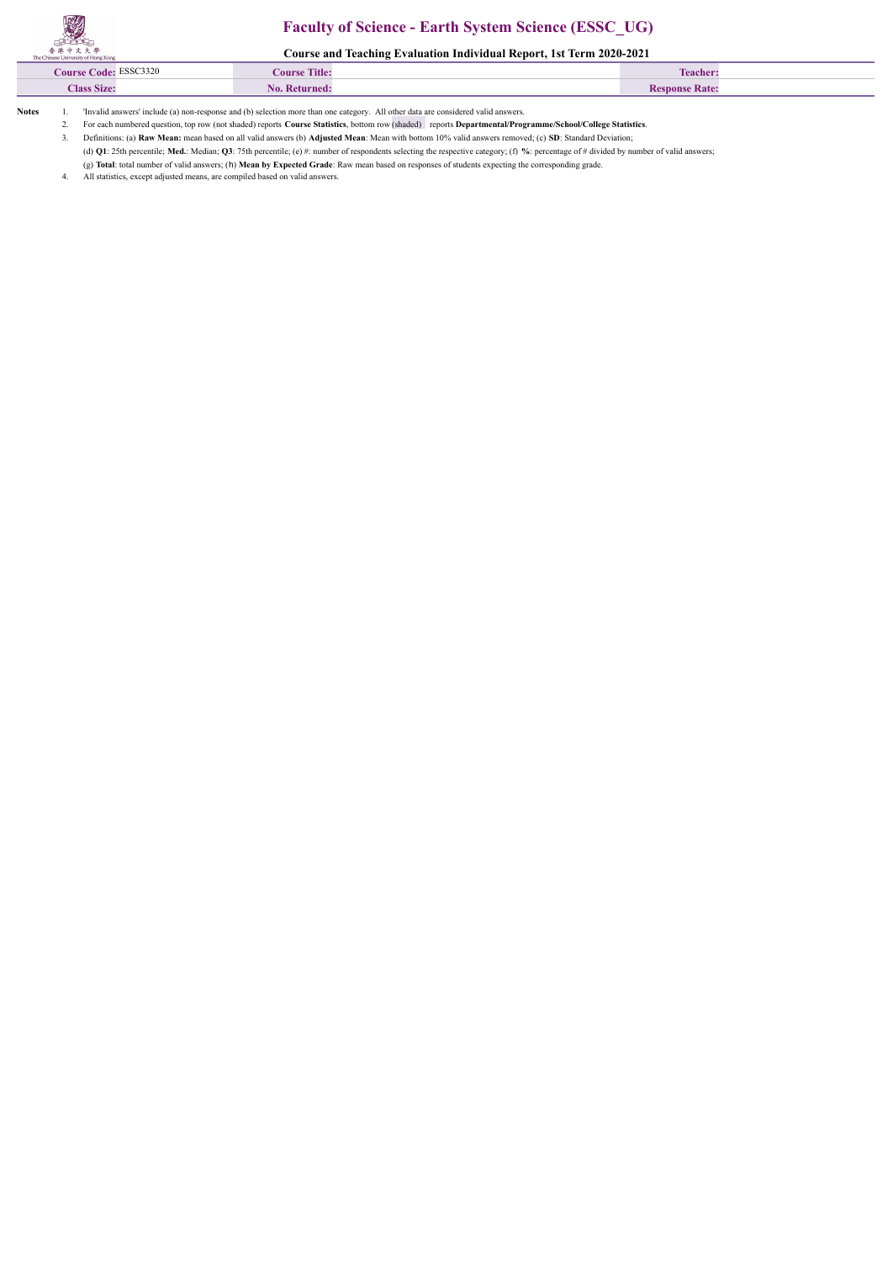## **Faculty of Science - Earth System Science (ESSC\_UG)**

**Course and Teaching Evaluation Individual Report, 1st Term 2020-2021**

| ___<br>ESSC3320<br><i>C</i> ourse Code: | <b>Course Title:</b> | <b>CONTRACTOR</b><br>l'eache |  |
|-----------------------------------------|----------------------|------------------------------|--|
| <b>Class Size:</b>                      | NΛ                   | <b>Nate:</b>                 |  |
|                                         |                      |                              |  |

**Notes** 1. 'Invalid answers' include (a) non-response and (b) selection more than one category. All other data are considered valid answers.

2. For each numbered question, top row (not shaded) reports **Course Statistics**, bottom row (shaded) reports **Departmental/Programme/School/College Statistics**.

3. Definitions: (a) **Raw Mean:** mean based on all valid answers (b) **Adjusted Mean**: Mean with bottom 10% valid answers removed; (c) **SD**: Standard Deviation;

(d) **Q1**: 25th percentile; **Med.**: Median; **Q3**: 75th percentile; (e) #: number of respondents selecting the respective category; (f) **%**: percentage of # divided by number of valid answers;

(g) **Total**: total number of valid answers; (h) **Mean by Expected Grade**: Raw mean based on responses of students expecting the corresponding grade.

All statistics, except adjusted means, are compiled based on valid answers.